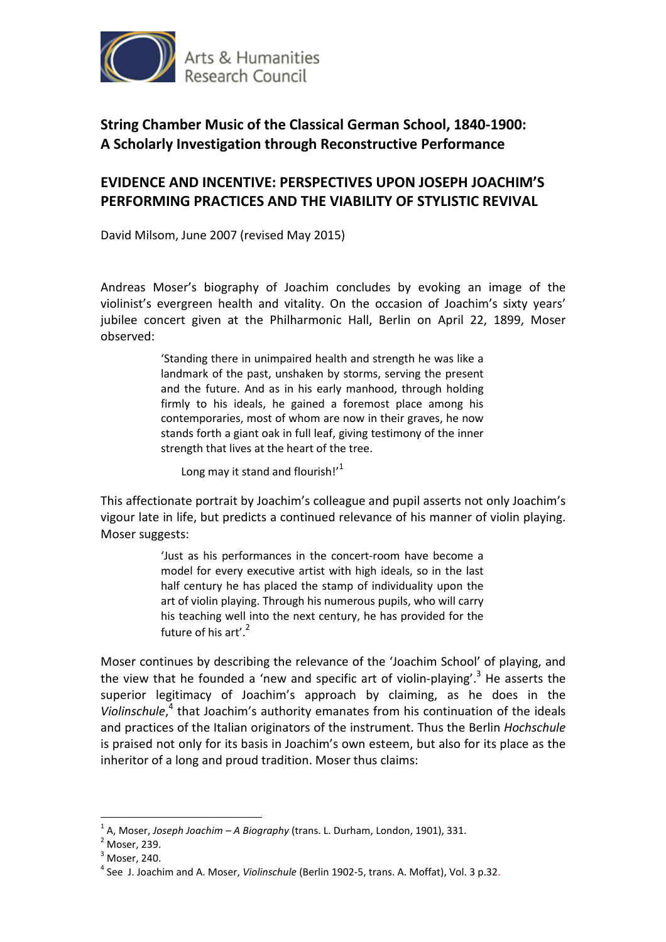

## **EVIDENCE AND INCENTIVE: PERSPECTIVES UPON JOSEPH JOACHIM'S PERFORMING PRACTICES AND THE VIABILITY OF STYLISTIC REVIVAL**

David Milsom, June 2007 (revised May 2015)

Andreas Moser's biography of Joachim concludes by evoking an image of the violinist's evergreen health and vitality. On the occasion of Joachim's sixty years' jubilee concert given at the Philharmonic Hall, Berlin on April 22, 1899, Moser observed:

> 'Standing there in unimpaired health and strength he was like a landmark of the past, unshaken by storms, serving the present and the future. And as in his early manhood, through holding firmly to his ideals, he gained a foremost place among his contemporaries, most of whom are now in their graves, he now stands forth a giant oak in full leaf, giving testimony of the inner strength that lives at the heart of the tree.

Long may it stand and flourish!'<sup>1</sup>

This affectionate portrait by Joachim's colleague and pupil asserts not only Joachim's vigour late in life, but predicts a continued relevance of his manner of violin playing. Moser suggests:

> 'Just as his performances in the concert-room have become a model for every executive artist with high ideals, so in the last half century he has placed the stamp of individuality upon the art of violin playing. Through his numerous pupils, who will carry his teaching well into the next century, he has provided for the future of his art'.<sup>2</sup>

Moser continues by describing the relevance of the 'Joachim School' of playing, and the view that he founded a 'new and specific art of violin-playing'.<sup>3</sup> He asserts the superior legitimacy of Joachim's approach by claiming, as he does in the Violinschule,<sup>4</sup> that Joachim's authority emanates from his continuation of the ideals and practices of the Italian originators of the instrument. Thus the Berlin *Hochschule*  is praised not only for its basis in Joachim's own esteem, but also for its place as the inheritor of a long and proud tradition. Moser thus claims:

<sup>1</sup> A, Moser, *Joseph Joachim – A Biography* (trans. L. Durham, London, 1901), 331.

 $<sup>2</sup>$  Moser, 239.</sup>

 $3$  Moser, 240.

<sup>4</sup> See J. Joachim and A. Moser, *Violinschule* (Berlin 1902-5, trans. A. Moffat), Vol. 3 p.32.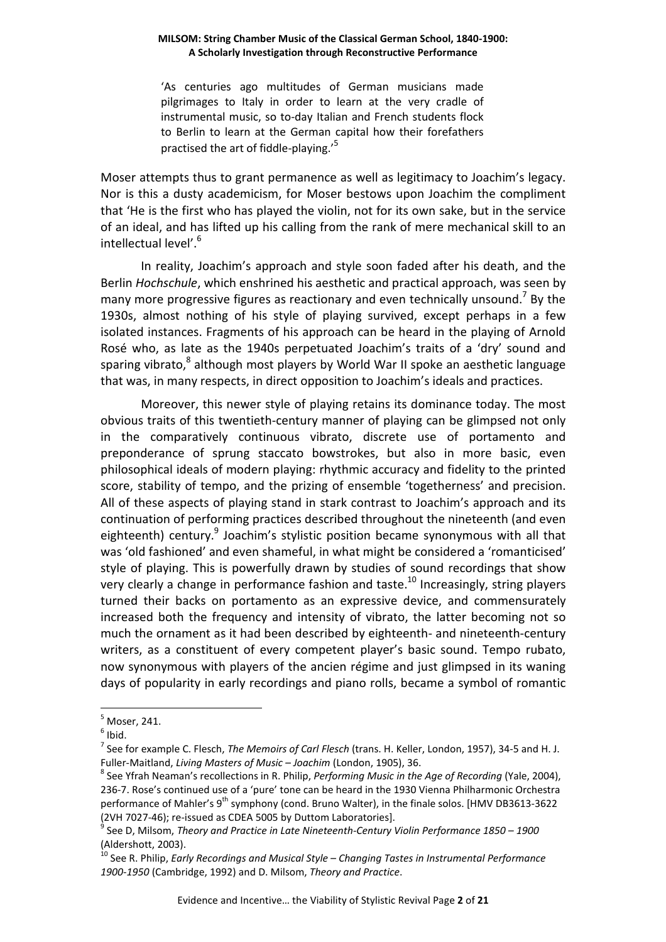'As centuries ago multitudes of German musicians made pilgrimages to Italy in order to learn at the very cradle of instrumental music, so to-day Italian and French students flock to Berlin to learn at the German capital how their forefathers practised the art of fiddle-playing.<sup>5</sup>

Moser attempts thus to grant permanence as well as legitimacy to Joachim's legacy. Nor is this a dusty academicism, for Moser bestows upon Joachim the compliment that 'He is the first who has played the violin, not for its own sake, but in the service of an ideal, and has lifted up his calling from the rank of mere mechanical skill to an intellectual level'.<sup>6</sup>

 In reality, Joachim's approach and style soon faded after his death, and the Berlin *Hochschule*, which enshrined his aesthetic and practical approach, was seen by many more progressive figures as reactionary and even technically unsound.<sup>7</sup> By the 1930s, almost nothing of his style of playing survived, except perhaps in a few isolated instances. Fragments of his approach can be heard in the playing of Arnold Rosé who, as late as the 1940s perpetuated Joachim's traits of a 'dry' sound and sparing vibrato,<sup>8</sup> although most players by World War II spoke an aesthetic language that was, in many respects, in direct opposition to Joachim's ideals and practices.

Moreover, this newer style of playing retains its dominance today. The most obvious traits of this twentieth-century manner of playing can be glimpsed not only in the comparatively continuous vibrato, discrete use of portamento and preponderance of sprung staccato bowstrokes, but also in more basic, even philosophical ideals of modern playing: rhythmic accuracy and fidelity to the printed score, stability of tempo, and the prizing of ensemble 'togetherness' and precision. All of these aspects of playing stand in stark contrast to Joachim's approach and its continuation of performing practices described throughout the nineteenth (and even eighteenth) century.<sup>9</sup> Joachim's stylistic position became synonymous with all that was 'old fashioned' and even shameful, in what might be considered a 'romanticised' style of playing. This is powerfully drawn by studies of sound recordings that show very clearly a change in performance fashion and taste.<sup>10</sup> Increasingly, string players turned their backs on portamento as an expressive device, and commensurately increased both the frequency and intensity of vibrato, the latter becoming not so much the ornament as it had been described by eighteenth- and nineteenth-century writers, as a constituent of every competent player's basic sound. Tempo rubato, now synonymous with players of the ancien régime and just glimpsed in its waning days of popularity in early recordings and piano rolls, became a symbol of romantic

<sup>5</sup> Moser, 241.

 $<sup>6</sup>$  Ibid.</sup>

<sup>7</sup> See for example C. Flesch, *The Memoirs of Carl Flesch* (trans. H. Keller, London, 1957), 34-5 and H. J. Fuller-Maitland, *Living Masters of Music – Joachim* (London, 1905), 36.

<sup>8</sup> See Yfrah Neaman's recollections in R. Philip, *Performing Music in the Age of Recording* (Yale, 2004), 236-7. Rose's continued use of a 'pure' tone can be heard in the 1930 Vienna Philharmonic Orchestra performance of Mahler's 9<sup>th</sup> symphony (cond. Bruno Walter), in the finale solos. [HMV DB3613-3622 (2VH 7027-46); re-issued as CDEA 5005 by Duttom Laboratories].<br><sup>9</sup> See D. Mileam, Theory and Practice in Late Nineteenth Century.

See D, Milsom, *Theory and Practice in Late Nineteenth-Century Violin Performance 1850 – 1900* (Aldershott, 2003).

<sup>&</sup>lt;sup>10</sup> See R. Philip, *Early Recordings and Musical Style – Changing Tastes in Instrumental Performance 1900-1950* (Cambridge, 1992) and D. Milsom, *Theory and Practice*.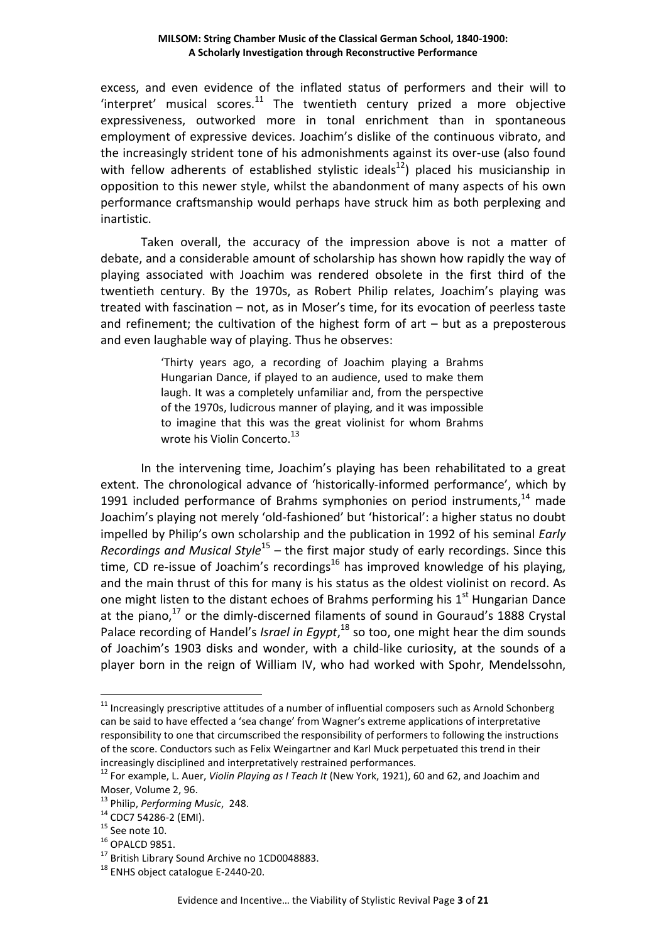excess, and even evidence of the inflated status of performers and their will to 'interpret' musical scores. $11$  The twentieth century prized a more objective expressiveness, outworked more in tonal enrichment than in spontaneous employment of expressive devices. Joachim's dislike of the continuous vibrato, and the increasingly strident tone of his admonishments against its over-use (also found with fellow adherents of established stylistic ideals<sup>12</sup>) placed his musicianship in opposition to this newer style, whilst the abandonment of many aspects of his own performance craftsmanship would perhaps have struck him as both perplexing and inartistic.

Taken overall, the accuracy of the impression above is not a matter of debate, and a considerable amount of scholarship has shown how rapidly the way of playing associated with Joachim was rendered obsolete in the first third of the twentieth century. By the 1970s, as Robert Philip relates, Joachim's playing was treated with fascination – not, as in Moser's time, for its evocation of peerless taste and refinement; the cultivation of the highest form of  $art - but$  as a preposterous and even laughable way of playing. Thus he observes:

> 'Thirty years ago, a recording of Joachim playing a Brahms Hungarian Dance, if played to an audience, used to make them laugh. It was a completely unfamiliar and, from the perspective of the 1970s, ludicrous manner of playing, and it was impossible to imagine that this was the great violinist for whom Brahms wrote his Violin Concerto.<sup>13</sup>

In the intervening time, Joachim's playing has been rehabilitated to a great extent. The chronological advance of 'historically-informed performance', which by 1991 included performance of Brahms symphonies on period instruments,  $14$  made Joachim's playing not merely 'old-fashioned' but 'historical': a higher status no doubt impelled by Philip's own scholarship and the publication in 1992 of his seminal *Early Recordings and Musical Style*<sup>15</sup> – the first major study of early recordings. Since this time, CD re-issue of Joachim's recordings<sup>16</sup> has improved knowledge of his playing, and the main thrust of this for many is his status as the oldest violinist on record. As one might listen to the distant echoes of Brahms performing his  $1<sup>st</sup>$  Hungarian Dance at the piano, $17$  or the dimly-discerned filaments of sound in Gouraud's 1888 Crystal Palace recording of Handel's *Israel in Egypt*,<sup>18</sup> so too, one might hear the dim sounds of Joachim's 1903 disks and wonder, with a child-like curiosity, at the sounds of a player born in the reign of William IV, who had worked with Spohr, Mendelssohn,

 $11$  Increasingly prescriptive attitudes of a number of influential composers such as Arnold Schonberg can be said to have effected a 'sea change' from Wagner's extreme applications of interpretative responsibility to one that circumscribed the responsibility of performers to following the instructions of the score. Conductors such as Felix Weingartner and Karl Muck perpetuated this trend in their increasingly disciplined and interpretatively restrained performances.

<sup>12</sup> For example, L. Auer, *Violin Playing as I Teach It* (New York, 1921), 60 and 62, and Joachim and Moser, Volume 2, 96.

<sup>13</sup> Philip, *Performing Music*, 248.

<sup>14</sup> CDC7 54286-2 (EMI).

 $15$  See note 10.

<sup>16</sup> OPALCD 9851.

<sup>&</sup>lt;sup>17</sup> British Library Sound Archive no 1CD0048883.

<sup>&</sup>lt;sup>18</sup> ENHS object catalogue E-2440-20.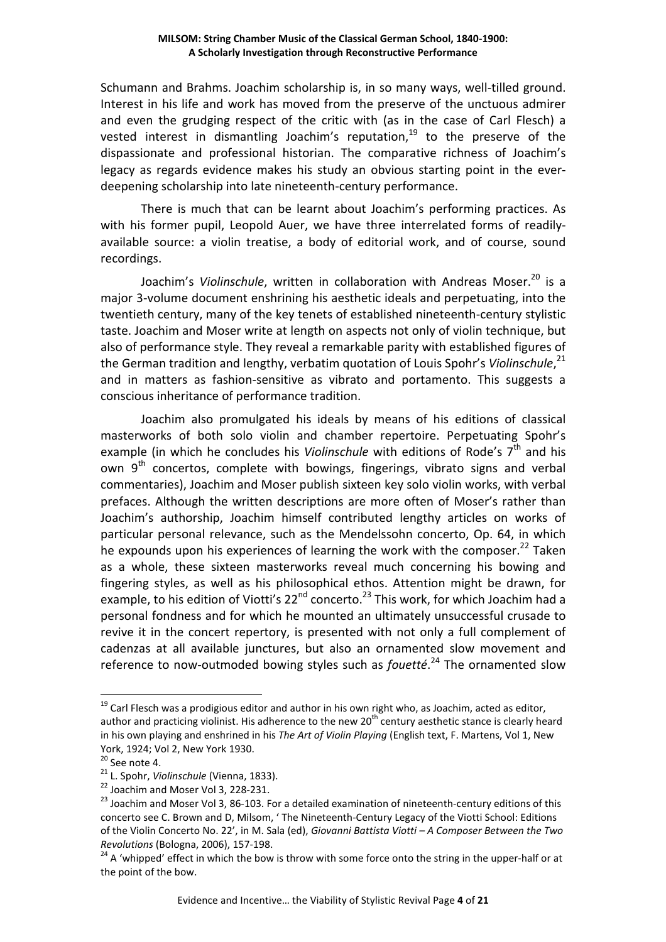Schumann and Brahms. Joachim scholarship is, in so many ways, well-tilled ground. Interest in his life and work has moved from the preserve of the unctuous admirer and even the grudging respect of the critic with (as in the case of Carl Flesch) a vested interest in dismantling Joachim's reputation,<sup>19</sup> to the preserve of the dispassionate and professional historian. The comparative richness of Joachim's legacy as regards evidence makes his study an obvious starting point in the everdeepening scholarship into late nineteenth-century performance.

There is much that can be learnt about Joachim's performing practices. As with his former pupil, Leopold Auer, we have three interrelated forms of readilyavailable source: a violin treatise, a body of editorial work, and of course, sound recordings.

Joachim's Violinschule, written in collaboration with Andreas Moser.<sup>20</sup> is a major 3-volume document enshrining his aesthetic ideals and perpetuating, into the twentieth century, many of the key tenets of established nineteenth-century stylistic taste. Joachim and Moser write at length on aspects not only of violin technique, but also of performance style. They reveal a remarkable parity with established figures of the German tradition and lengthy, verbatim quotation of Louis Spohr's Violinschule,<sup>21</sup> and in matters as fashion-sensitive as vibrato and portamento. This suggests a conscious inheritance of performance tradition.

Joachim also promulgated his ideals by means of his editions of classical masterworks of both solo violin and chamber repertoire. Perpetuating Spohr's example (in which he concludes his *Violinschule* with editions of Rode's 7<sup>th</sup> and his own  $9<sup>th</sup>$  concertos, complete with bowings, fingerings, vibrato signs and verbal commentaries), Joachim and Moser publish sixteen key solo violin works, with verbal prefaces. Although the written descriptions are more often of Moser's rather than Joachim's authorship, Joachim himself contributed lengthy articles on works of particular personal relevance, such as the Mendelssohn concerto, Op. 64, in which he expounds upon his experiences of learning the work with the composer. $^{22}$  Taken as a whole, these sixteen masterworks reveal much concerning his bowing and fingering styles, as well as his philosophical ethos. Attention might be drawn, for example, to his edition of Viotti's  $22^{nd}$  concerto.<sup>23</sup> This work, for which Joachim had a personal fondness and for which he mounted an ultimately unsuccessful crusade to revive it in the concert repertory, is presented with not only a full complement of cadenzas at all available junctures, but also an ornamented slow movement and reference to now-outmoded bowing styles such as *fouetté*. <sup>24</sup> The ornamented slow

 $19$  Carl Flesch was a prodigious editor and author in his own right who, as Joachim, acted as editor, author and practicing violinist. His adherence to the new 20<sup>th</sup> century aesthetic stance is clearly heard in his own playing and enshrined in his *The Art of Violin Playing* (English text, F. Martens, Vol 1, New York, 1924; Vol 2, New York 1930.

 $20$  See note 4.

<sup>21</sup> L. Spohr, *Violinschule* (Vienna, 1833).

<sup>&</sup>lt;sup>22</sup> Joachim and Moser Vol 3, 228-231.

<sup>&</sup>lt;sup>23</sup> Joachim and Moser Vol 3, 86-103. For a detailed examination of nineteenth-century editions of this concerto see C. Brown and D, Milsom, ' The Nineteenth-Century Legacy of the Viotti School: Editions of the Violin Concerto No. 22', in M. Sala (ed), *Giovanni Battista Viotti – A Composer Between the Two Revolutions* (Bologna, 2006), 157-198.

<sup>&</sup>lt;sup>24</sup> A 'whipped' effect in which the bow is throw with some force onto the string in the upper-half or at the point of the bow.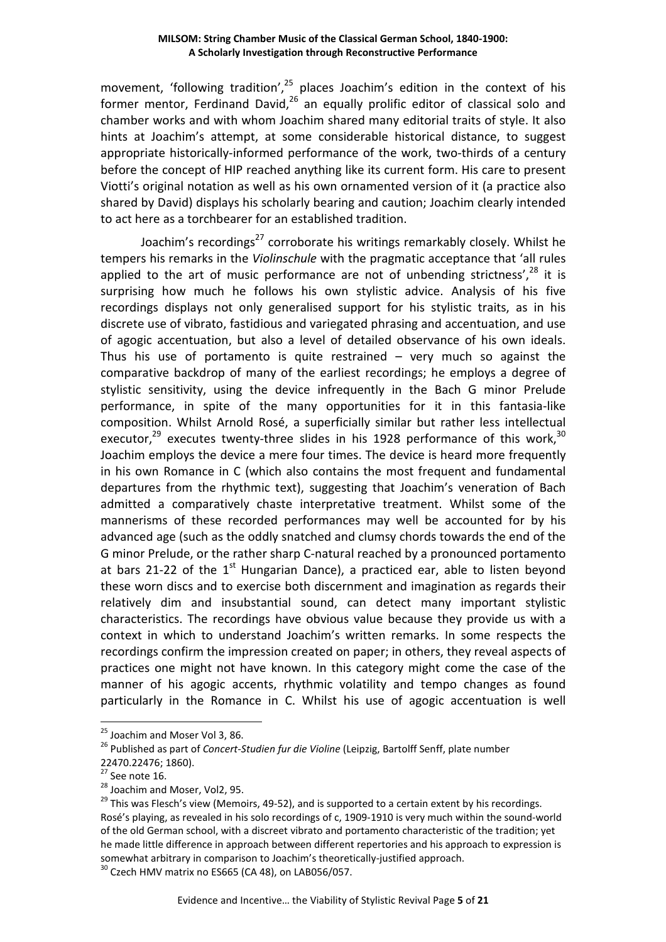movement, 'following tradition', $25$  places Joachim's edition in the context of his former mentor, Ferdinand David, $26$  an equally prolific editor of classical solo and chamber works and with whom Joachim shared many editorial traits of style. It also hints at Joachim's attempt, at some considerable historical distance, to suggest appropriate historically-informed performance of the work, two-thirds of a century before the concept of HIP reached anything like its current form. His care to present Viotti's original notation as well as his own ornamented version of it (a practice also shared by David) displays his scholarly bearing and caution; Joachim clearly intended to act here as a torchbearer for an established tradition.

Joachim's recordings<sup>27</sup> corroborate his writings remarkably closely. Whilst he tempers his remarks in the *Violinschule* with the pragmatic acceptance that 'all rules applied to the art of music performance are not of unbending strictness',  $28$  it is surprising how much he follows his own stylistic advice. Analysis of his five recordings displays not only generalised support for his stylistic traits, as in his discrete use of vibrato, fastidious and variegated phrasing and accentuation, and use of agogic accentuation, but also a level of detailed observance of his own ideals. Thus his use of portamento is quite restrained  $-$  very much so against the comparative backdrop of many of the earliest recordings; he employs a degree of stylistic sensitivity, using the device infrequently in the Bach G minor Prelude performance, in spite of the many opportunities for it in this fantasia-like composition. Whilst Arnold Rosé, a superficially similar but rather less intellectual executor, $29$  executes twenty-three slides in his 1928 performance of this work,  $30$ Joachim employs the device a mere four times. The device is heard more frequently in his own Romance in C (which also contains the most frequent and fundamental departures from the rhythmic text), suggesting that Joachim's veneration of Bach admitted a comparatively chaste interpretative treatment. Whilst some of the mannerisms of these recorded performances may well be accounted for by his advanced age (such as the oddly snatched and clumsy chords towards the end of the G minor Prelude, or the rather sharp C-natural reached by a pronounced portamento at bars 21-22 of the  $1<sup>st</sup>$  Hungarian Dance), a practiced ear, able to listen beyond these worn discs and to exercise both discernment and imagination as regards their relatively dim and insubstantial sound, can detect many important stylistic characteristics. The recordings have obvious value because they provide us with a context in which to understand Joachim's written remarks. In some respects the recordings confirm the impression created on paper; in others, they reveal aspects of practices one might not have known. In this category might come the case of the manner of his agogic accents, rhythmic volatility and tempo changes as found particularly in the Romance in C. Whilst his use of agogic accentuation is well

<sup>&</sup>lt;sup>25</sup> Joachim and Moser Vol 3, 86.

<sup>26</sup> Published as part of *Concert-Studien fur die Violine* (Leipzig, Bartolff Senff, plate number 22470.22476; 1860).

 $27$  See note 16.

<sup>28</sup> Joachim and Moser, Vol2, 95.

<sup>&</sup>lt;sup>29</sup> This was Flesch's view (Memoirs, 49-52), and is supported to a certain extent by his recordings. Rosé's playing, as revealed in his solo recordings of c, 1909-1910 is very much within the sound-world of the old German school, with a discreet vibrato and portamento characteristic of the tradition; yet he made little difference in approach between different repertories and his approach to expression is somewhat arbitrary in comparison to Joachim's theoretically-justified approach.

 $30$  Czech HMV matrix no ES665 (CA 48), on LAB056/057.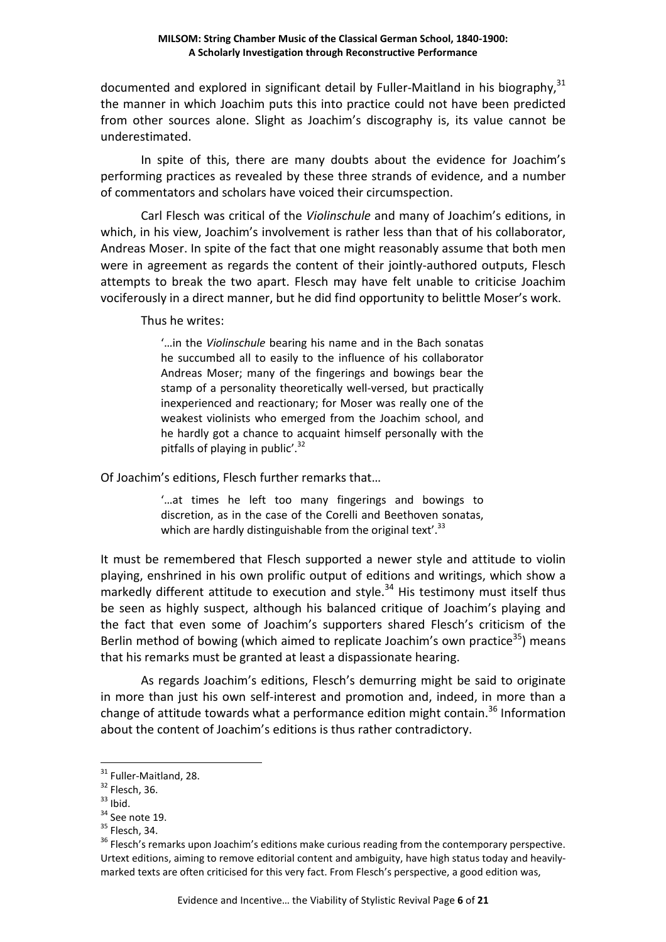documented and explored in significant detail by Fuller-Maitland in his biography,  $31$ the manner in which Joachim puts this into practice could not have been predicted from other sources alone. Slight as Joachim's discography is, its value cannot be underestimated.

In spite of this, there are many doubts about the evidence for Joachim's performing practices as revealed by these three strands of evidence, and a number of commentators and scholars have voiced their circumspection.

Carl Flesch was critical of the *Violinschule* and many of Joachim's editions, in which, in his view, Joachim's involvement is rather less than that of his collaborator, Andreas Moser. In spite of the fact that one might reasonably assume that both men were in agreement as regards the content of their jointly-authored outputs, Flesch attempts to break the two apart. Flesch may have felt unable to criticise Joachim vociferously in a direct manner, but he did find opportunity to belittle Moser's work.

Thus he writes:

'…in the *Violinschule* bearing his name and in the Bach sonatas he succumbed all to easily to the influence of his collaborator Andreas Moser; many of the fingerings and bowings bear the stamp of a personality theoretically well-versed, but practically inexperienced and reactionary; for Moser was really one of the weakest violinists who emerged from the Joachim school, and he hardly got a chance to acquaint himself personally with the pitfalls of playing in public'.<sup>32</sup>

Of Joachim's editions, Flesch further remarks that…

'…at times he left too many fingerings and bowings to discretion, as in the case of the Corelli and Beethoven sonatas, which are hardly distinguishable from the original text'. $33$ 

It must be remembered that Flesch supported a newer style and attitude to violin playing, enshrined in his own prolific output of editions and writings, which show a markedly different attitude to execution and style. $34$  His testimony must itself thus be seen as highly suspect, although his balanced critique of Joachim's playing and the fact that even some of Joachim's supporters shared Flesch's criticism of the Berlin method of bowing (which aimed to replicate Joachim's own practice<sup>35</sup>) means that his remarks must be granted at least a dispassionate hearing.

 As regards Joachim's editions, Flesch's demurring might be said to originate in more than just his own self-interest and promotion and, indeed, in more than a change of attitude towards what a performance edition might contain.<sup>36</sup> Information about the content of Joachim's editions is thus rather contradictory.

<sup>&</sup>lt;sup>31</sup> Fuller-Maitland, 28.

 $32$  Flesch, 36.

 $33$  Ibid.

<sup>&</sup>lt;sup>34</sup> See note 19.

 $35$  Flesch, 34.

<sup>&</sup>lt;sup>36</sup> Flesch's remarks upon Joachim's editions make curious reading from the contemporary perspective. Urtext editions, aiming to remove editorial content and ambiguity, have high status today and heavilymarked texts are often criticised for this very fact. From Flesch's perspective, a good edition was,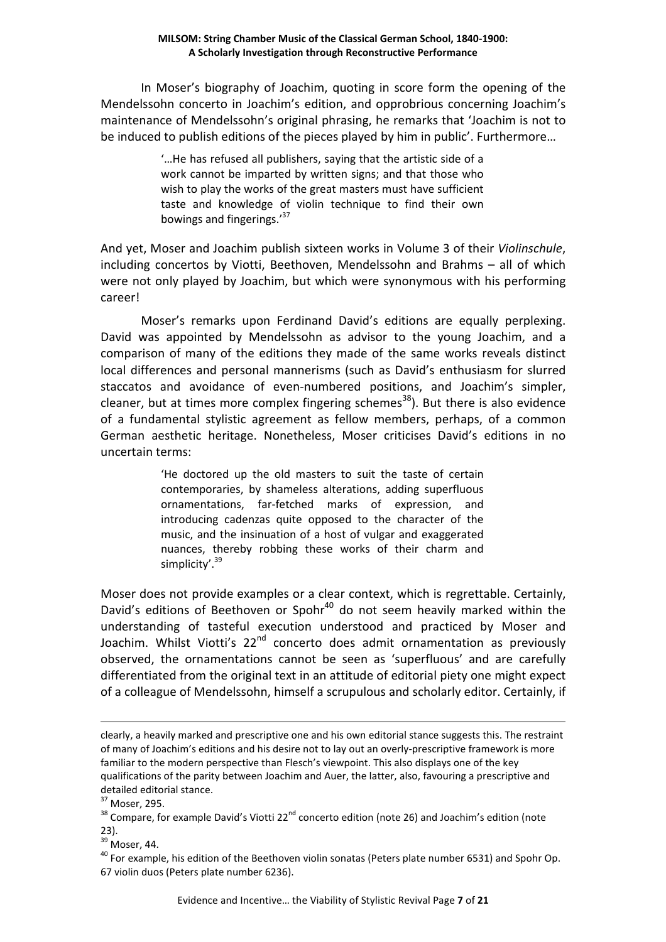In Moser's biography of Joachim, quoting in score form the opening of the Mendelssohn concerto in Joachim's edition, and opprobrious concerning Joachim's maintenance of Mendelssohn's original phrasing, he remarks that 'Joachim is not to be induced to publish editions of the pieces played by him in public'. Furthermore…

> '…He has refused all publishers, saying that the artistic side of a work cannot be imparted by written signs; and that those who wish to play the works of the great masters must have sufficient taste and knowledge of violin technique to find their own bowings and fingerings.'<sup>37</sup>

And yet, Moser and Joachim publish sixteen works in Volume 3 of their *Violinschule*, including concertos by Viotti, Beethoven, Mendelssohn and Brahms – all of which were not only played by Joachim, but which were synonymous with his performing career!

 Moser's remarks upon Ferdinand David's editions are equally perplexing. David was appointed by Mendelssohn as advisor to the young Joachim, and a comparison of many of the editions they made of the same works reveals distinct local differences and personal mannerisms (such as David's enthusiasm for slurred staccatos and avoidance of even-numbered positions, and Joachim's simpler, cleaner, but at times more complex fingering schemes<sup>38</sup>). But there is also evidence of a fundamental stylistic agreement as fellow members, perhaps, of a common German aesthetic heritage. Nonetheless, Moser criticises David's editions in no uncertain terms:

> 'He doctored up the old masters to suit the taste of certain contemporaries, by shameless alterations, adding superfluous ornamentations, far-fetched marks of expression, and introducing cadenzas quite opposed to the character of the music, and the insinuation of a host of vulgar and exaggerated nuances, thereby robbing these works of their charm and simplicity'.<sup>39</sup>

Moser does not provide examples or a clear context, which is regrettable. Certainly, David's editions of Beethoven or Spohr<sup>40</sup> do not seem heavily marked within the understanding of tasteful execution understood and practiced by Moser and Joachim. Whilst Viotti's 22<sup>nd</sup> concerto does admit ornamentation as previously observed, the ornamentations cannot be seen as 'superfluous' and are carefully differentiated from the original text in an attitude of editorial piety one might expect of a colleague of Mendelssohn, himself a scrupulous and scholarly editor. Certainly, if

 $\overline{a}$ 

<sup>39</sup> Moser, 44.

clearly, a heavily marked and prescriptive one and his own editorial stance suggests this. The restraint of many of Joachim's editions and his desire not to lay out an overly-prescriptive framework is more familiar to the modern perspective than Flesch's viewpoint. This also displays one of the key qualifications of the parity between Joachim and Auer, the latter, also, favouring a prescriptive and detailed editorial stance.

<sup>37</sup> Moser, 295.

<sup>38</sup> Compare, for example David's Viotti 22<sup>nd</sup> concerto edition (note 26) and Joachim's edition (note 23).

 $40$  For example, his edition of the Beethoven violin sonatas (Peters plate number 6531) and Spohr Op. 67 violin duos (Peters plate number 6236).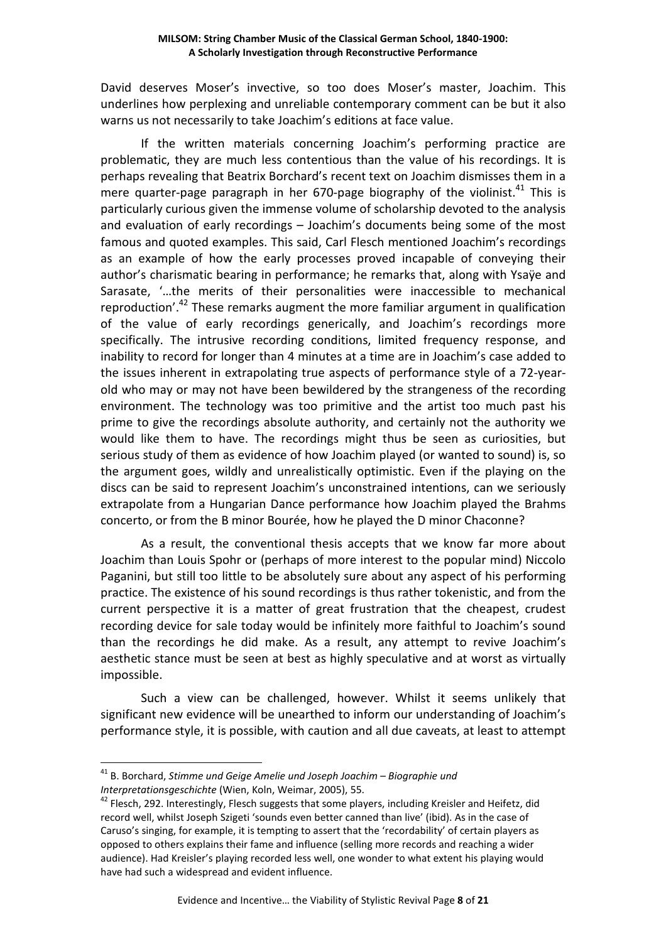David deserves Moser's invective, so too does Moser's master, Joachim. This underlines how perplexing and unreliable contemporary comment can be but it also warns us not necessarily to take Joachim's editions at face value.

If the written materials concerning Joachim's performing practice are problematic, they are much less contentious than the value of his recordings. It is perhaps revealing that Beatrix Borchard's recent text on Joachim dismisses them in a mere quarter-page paragraph in her 670-page biography of the violinist.<sup>41</sup> This is particularly curious given the immense volume of scholarship devoted to the analysis and evaluation of early recordings – Joachim's documents being some of the most famous and quoted examples. This said, Carl Flesch mentioned Joachim's recordings as an example of how the early processes proved incapable of conveying their author's charismatic bearing in performance; he remarks that, along with Ysaÿe and Sarasate, '…the merits of their personalities were inaccessible to mechanical reproduction'.<sup>42</sup> These remarks augment the more familiar argument in qualification of the value of early recordings generically, and Joachim's recordings more specifically. The intrusive recording conditions, limited frequency response, and inability to record for longer than 4 minutes at a time are in Joachim's case added to the issues inherent in extrapolating true aspects of performance style of a 72-yearold who may or may not have been bewildered by the strangeness of the recording environment. The technology was too primitive and the artist too much past his prime to give the recordings absolute authority, and certainly not the authority we would like them to have. The recordings might thus be seen as curiosities, but serious study of them as evidence of how Joachim played (or wanted to sound) is, so the argument goes, wildly and unrealistically optimistic. Even if the playing on the discs can be said to represent Joachim's unconstrained intentions, can we seriously extrapolate from a Hungarian Dance performance how Joachim played the Brahms concerto, or from the B minor Bourée, how he played the D minor Chaconne?

 As a result, the conventional thesis accepts that we know far more about Joachim than Louis Spohr or (perhaps of more interest to the popular mind) Niccolo Paganini, but still too little to be absolutely sure about any aspect of his performing practice. The existence of his sound recordings is thus rather tokenistic, and from the current perspective it is a matter of great frustration that the cheapest, crudest recording device for sale today would be infinitely more faithful to Joachim's sound than the recordings he did make. As a result, any attempt to revive Joachim's aesthetic stance must be seen at best as highly speculative and at worst as virtually impossible.

 Such a view can be challenged, however. Whilst it seems unlikely that significant new evidence will be unearthed to inform our understanding of Joachim's performance style, it is possible, with caution and all due caveats, at least to attempt

<sup>41</sup> B. Borchard, *Stimme und Geige Amelie und Joseph Joachim – Biographie und Interpretationsgeschichte* (Wien, Koln, Weimar, 2005), 55.

<sup>&</sup>lt;sup>42</sup> Flesch, 292. Interestingly, Flesch suggests that some players, including Kreisler and Heifetz, did record well, whilst Joseph Szigeti 'sounds even better canned than live' (ibid). As in the case of Caruso's singing, for example, it is tempting to assert that the 'recordability' of certain players as opposed to others explains their fame and influence (selling more records and reaching a wider audience). Had Kreisler's playing recorded less well, one wonder to what extent his playing would have had such a widespread and evident influence.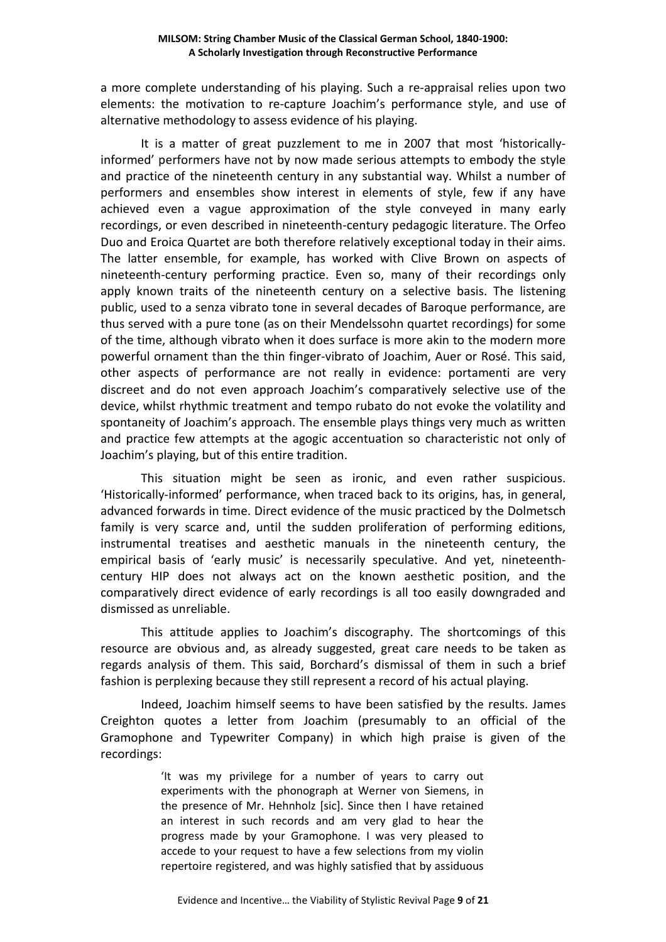a more complete understanding of his playing. Such a re-appraisal relies upon two elements: the motivation to re-capture Joachim's performance style, and use of alternative methodology to assess evidence of his playing.

 It is a matter of great puzzlement to me in 2007 that most 'historicallyinformed' performers have not by now made serious attempts to embody the style and practice of the nineteenth century in any substantial way. Whilst a number of performers and ensembles show interest in elements of style, few if any have achieved even a vague approximation of the style conveyed in many early recordings, or even described in nineteenth-century pedagogic literature. The Orfeo Duo and Eroica Quartet are both therefore relatively exceptional today in their aims. The latter ensemble, for example, has worked with Clive Brown on aspects of nineteenth-century performing practice. Even so, many of their recordings only apply known traits of the nineteenth century on a selective basis. The listening public, used to a senza vibrato tone in several decades of Baroque performance, are thus served with a pure tone (as on their Mendelssohn quartet recordings) for some of the time, although vibrato when it does surface is more akin to the modern more powerful ornament than the thin finger-vibrato of Joachim, Auer or Rosé. This said, other aspects of performance are not really in evidence: portamenti are very discreet and do not even approach Joachim's comparatively selective use of the device, whilst rhythmic treatment and tempo rubato do not evoke the volatility and spontaneity of Joachim's approach. The ensemble plays things very much as written and practice few attempts at the agogic accentuation so characteristic not only of Joachim's playing, but of this entire tradition.

 This situation might be seen as ironic, and even rather suspicious. 'Historically-informed' performance, when traced back to its origins, has, in general, advanced forwards in time. Direct evidence of the music practiced by the Dolmetsch family is very scarce and, until the sudden proliferation of performing editions, instrumental treatises and aesthetic manuals in the nineteenth century, the empirical basis of 'early music' is necessarily speculative. And yet, nineteenthcentury HIP does not always act on the known aesthetic position, and the comparatively direct evidence of early recordings is all too easily downgraded and dismissed as unreliable.

This attitude applies to Joachim's discography. The shortcomings of this resource are obvious and, as already suggested, great care needs to be taken as regards analysis of them. This said, Borchard's dismissal of them in such a brief fashion is perplexing because they still represent a record of his actual playing.

Indeed, Joachim himself seems to have been satisfied by the results. James Creighton quotes a letter from Joachim (presumably to an official of the Gramophone and Typewriter Company) in which high praise is given of the recordings:

> 'It was my privilege for a number of years to carry out experiments with the phonograph at Werner von Siemens, in the presence of Mr. Hehnholz [sic]. Since then I have retained an interest in such records and am very glad to hear the progress made by your Gramophone. I was very pleased to accede to your request to have a few selections from my violin repertoire registered, and was highly satisfied that by assiduous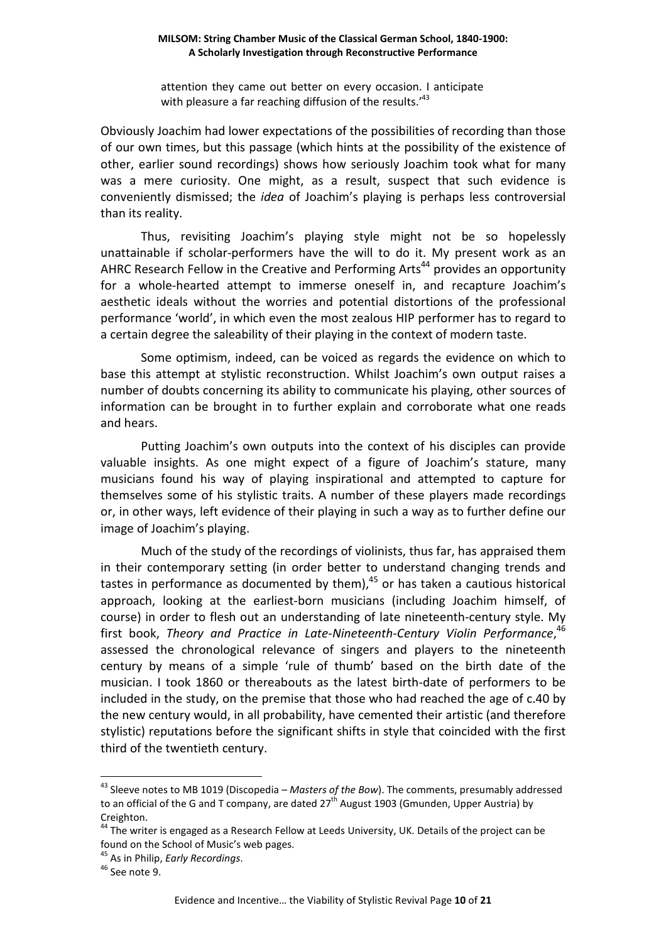attention they came out better on every occasion. I anticipate with pleasure a far reaching diffusion of the results.<sup>43</sup>

Obviously Joachim had lower expectations of the possibilities of recording than those of our own times, but this passage (which hints at the possibility of the existence of other, earlier sound recordings) shows how seriously Joachim took what for many was a mere curiosity. One might, as a result, suspect that such evidence is conveniently dismissed; the *idea* of Joachim's playing is perhaps less controversial than its reality.

Thus, revisiting Joachim's playing style might not be so hopelessly unattainable if scholar-performers have the will to do it. My present work as an AHRC Research Fellow in the Creative and Performing Arts<sup>44</sup> provides an opportunity for a whole-hearted attempt to immerse oneself in, and recapture Joachim's aesthetic ideals without the worries and potential distortions of the professional performance 'world', in which even the most zealous HIP performer has to regard to a certain degree the saleability of their playing in the context of modern taste.

Some optimism, indeed, can be voiced as regards the evidence on which to base this attempt at stylistic reconstruction. Whilst Joachim's own output raises a number of doubts concerning its ability to communicate his playing, other sources of information can be brought in to further explain and corroborate what one reads and hears.

Putting Joachim's own outputs into the context of his disciples can provide valuable insights. As one might expect of a figure of Joachim's stature, many musicians found his way of playing inspirational and attempted to capture for themselves some of his stylistic traits. A number of these players made recordings or, in other ways, left evidence of their playing in such a way as to further define our image of Joachim's playing.

Much of the study of the recordings of violinists, thus far, has appraised them in their contemporary setting (in order better to understand changing trends and tastes in performance as documented by them), $45$  or has taken a cautious historical approach, looking at the earliest-born musicians (including Joachim himself, of course) in order to flesh out an understanding of late nineteenth-century style. My first book, *Theory and Practice in Late-Nineteenth-Century Violin Performance*, 46 assessed the chronological relevance of singers and players to the nineteenth century by means of a simple 'rule of thumb' based on the birth date of the musician. I took 1860 or thereabouts as the latest birth-date of performers to be included in the study, on the premise that those who had reached the age of c.40 by the new century would, in all probability, have cemented their artistic (and therefore stylistic) reputations before the significant shifts in style that coincided with the first third of the twentieth century.

<sup>43</sup> Sleeve notes to MB 1019 (Discopedia – *Masters of the Bow*). The comments, presumably addressed to an official of the G and T company, are dated 27<sup>th</sup> August 1903 (Gmunden, Upper Austria) by Creighton.

<sup>&</sup>lt;sup>44</sup> The writer is engaged as a Research Fellow at Leeds University, UK. Details of the project can be found on the School of Music's web pages.

<sup>45</sup> As in Philip, *Early Recordings*.

<sup>&</sup>lt;sup>46</sup> See note 9.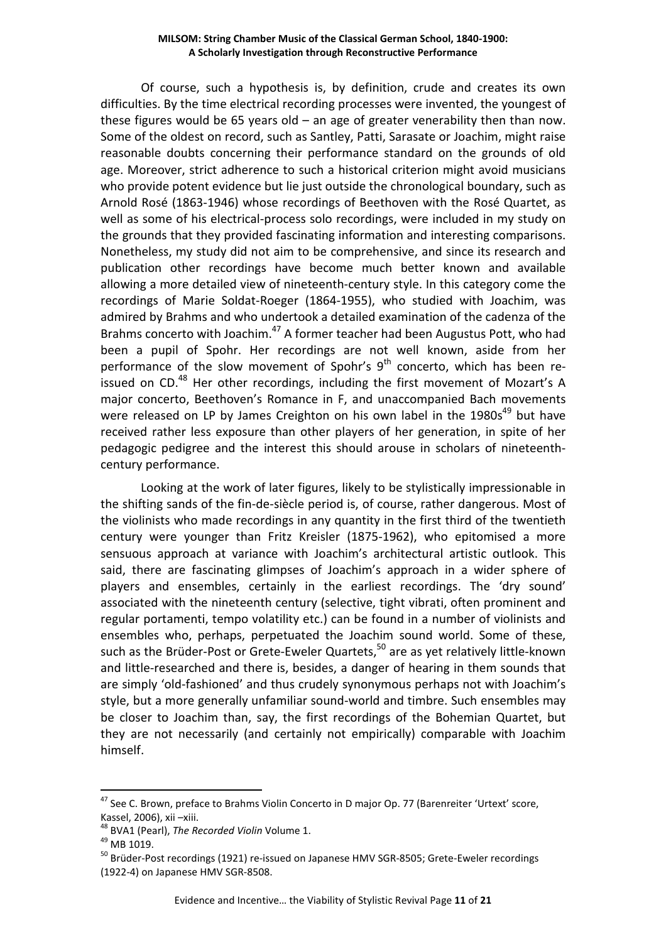Of course, such a hypothesis is, by definition, crude and creates its own difficulties. By the time electrical recording processes were invented, the youngest of these figures would be 65 years old  $-$  an age of greater venerability then than now. Some of the oldest on record, such as Santley, Patti, Sarasate or Joachim, might raise reasonable doubts concerning their performance standard on the grounds of old age. Moreover, strict adherence to such a historical criterion might avoid musicians who provide potent evidence but lie just outside the chronological boundary, such as Arnold Rosé (1863-1946) whose recordings of Beethoven with the Rosé Quartet, as well as some of his electrical-process solo recordings, were included in my study on the grounds that they provided fascinating information and interesting comparisons. Nonetheless, my study did not aim to be comprehensive, and since its research and publication other recordings have become much better known and available allowing a more detailed view of nineteenth-century style. In this category come the recordings of Marie Soldat-Roeger (1864-1955), who studied with Joachim, was admired by Brahms and who undertook a detailed examination of the cadenza of the Brahms concerto with Joachim.<sup>47</sup> A former teacher had been Augustus Pott, who had been a pupil of Spohr. Her recordings are not well known, aside from her performance of the slow movement of Spohr's  $9<sup>th</sup>$  concerto, which has been reissued on CD. $^{48}$  Her other recordings, including the first movement of Mozart's A major concerto, Beethoven's Romance in F, and unaccompanied Bach movements were released on LP by James Creighton on his own label in the  $1980s^{49}$  but have received rather less exposure than other players of her generation, in spite of her pedagogic pedigree and the interest this should arouse in scholars of nineteenthcentury performance.

 Looking at the work of later figures, likely to be stylistically impressionable in the shifting sands of the fin-de-siècle period is, of course, rather dangerous. Most of the violinists who made recordings in any quantity in the first third of the twentieth century were younger than Fritz Kreisler (1875-1962), who epitomised a more sensuous approach at variance with Joachim's architectural artistic outlook. This said, there are fascinating glimpses of Joachim's approach in a wider sphere of players and ensembles, certainly in the earliest recordings. The 'dry sound' associated with the nineteenth century (selective, tight vibrati, often prominent and regular portamenti, tempo volatility etc.) can be found in a number of violinists and ensembles who, perhaps, perpetuated the Joachim sound world. Some of these, such as the Brüder-Post or Grete-Eweler Quartets, $50$  are as yet relatively little-known and little-researched and there is, besides, a danger of hearing in them sounds that are simply 'old-fashioned' and thus crudely synonymous perhaps not with Joachim's style, but a more generally unfamiliar sound-world and timbre. Such ensembles may be closer to Joachim than, say, the first recordings of the Bohemian Quartet, but they are not necessarily (and certainly not empirically) comparable with Joachim himself.

<sup>&</sup>lt;sup>47</sup> See C. Brown, preface to Brahms Violin Concerto in D major Op. 77 (Barenreiter 'Urtext' score, Kassel, 2006), xii –xiii.

<sup>48</sup> BVA1 (Pearl), *The Recorded Violin* Volume 1.

<sup>49</sup> MB 1019.

<sup>&</sup>lt;sup>50</sup> Brüder-Post recordings (1921) re-issued on Japanese HMV SGR-8505; Grete-Eweler recordings (1922-4) on Japanese HMV SGR-8508.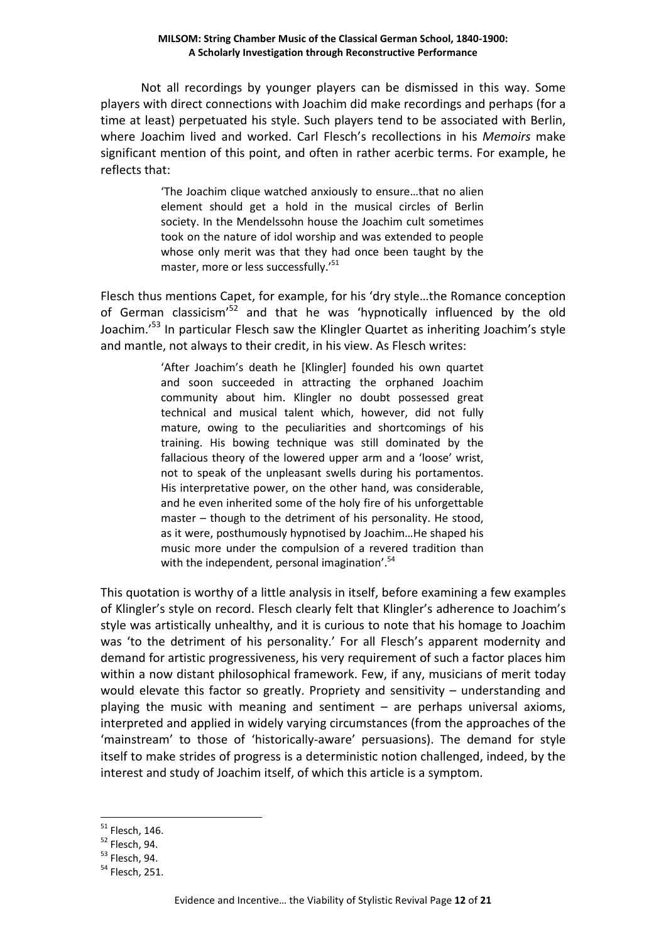Not all recordings by younger players can be dismissed in this way. Some players with direct connections with Joachim did make recordings and perhaps (for a time at least) perpetuated his style. Such players tend to be associated with Berlin, where Joachim lived and worked. Carl Flesch's recollections in his *Memoirs* make significant mention of this point, and often in rather acerbic terms. For example, he reflects that:

> 'The Joachim clique watched anxiously to ensure…that no alien element should get a hold in the musical circles of Berlin society. In the Mendelssohn house the Joachim cult sometimes took on the nature of idol worship and was extended to people whose only merit was that they had once been taught by the master, more or less successfully.'<sup>51</sup>

Flesch thus mentions Capet, for example, for his 'dry style…the Romance conception of German classicism<sup>'52</sup> and that he was 'hypnotically influenced by the old Joachim.<sup>'53</sup> In particular Flesch saw the Klingler Quartet as inheriting Joachim's style and mantle, not always to their credit, in his view. As Flesch writes:

> 'After Joachim's death he [Klingler] founded his own quartet and soon succeeded in attracting the orphaned Joachim community about him. Klingler no doubt possessed great technical and musical talent which, however, did not fully mature, owing to the peculiarities and shortcomings of his training. His bowing technique was still dominated by the fallacious theory of the lowered upper arm and a 'loose' wrist, not to speak of the unpleasant swells during his portamentos. His interpretative power, on the other hand, was considerable, and he even inherited some of the holy fire of his unforgettable master – though to the detriment of his personality. He stood, as it were, posthumously hypnotised by Joachim…He shaped his music more under the compulsion of a revered tradition than with the independent, personal imagination'.<sup>54</sup>

This quotation is worthy of a little analysis in itself, before examining a few examples of Klingler's style on record. Flesch clearly felt that Klingler's adherence to Joachim's style was artistically unhealthy, and it is curious to note that his homage to Joachim was 'to the detriment of his personality.' For all Flesch's apparent modernity and demand for artistic progressiveness, his very requirement of such a factor places him within a now distant philosophical framework. Few, if any, musicians of merit today would elevate this factor so greatly. Propriety and sensitivity – understanding and playing the music with meaning and sentiment – are perhaps universal axioms, interpreted and applied in widely varying circumstances (from the approaches of the 'mainstream' to those of 'historically-aware' persuasions). The demand for style itself to make strides of progress is a deterministic notion challenged, indeed, by the interest and study of Joachim itself, of which this article is a symptom.

<sup>51</sup> Flesch, 146.

<sup>52</sup> Flesch, 94.

 $53$  Flesch, 94.

 $54$  Flesch, 251.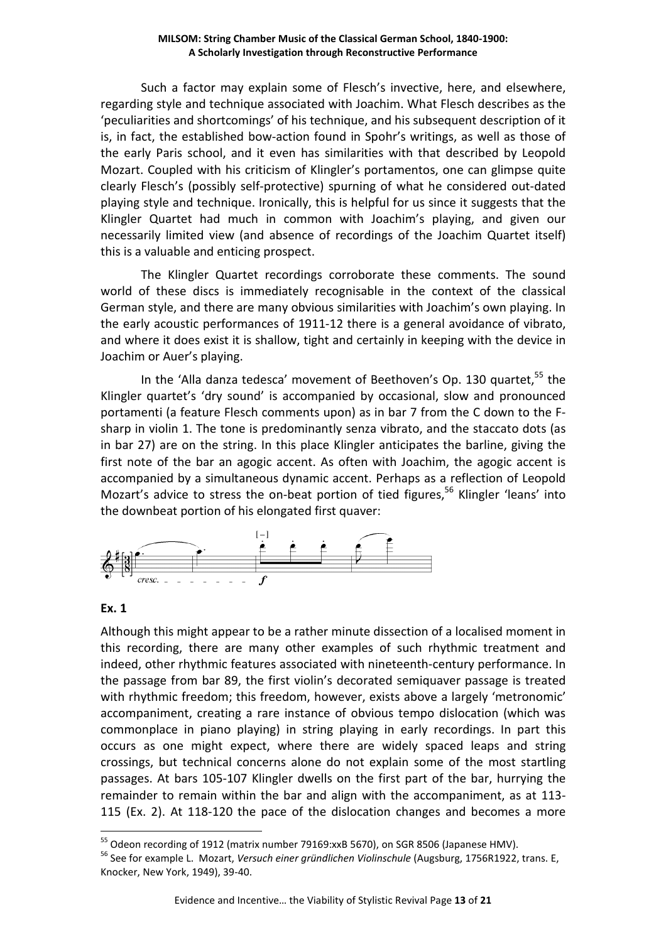Such a factor may explain some of Flesch's invective, here, and elsewhere, regarding style and technique associated with Joachim. What Flesch describes as the 'peculiarities and shortcomings' of his technique, and his subsequent description of it is, in fact, the established bow-action found in Spohr's writings, as well as those of the early Paris school, and it even has similarities with that described by Leopold Mozart. Coupled with his criticism of Klingler's portamentos, one can glimpse quite clearly Flesch's (possibly self-protective) spurning of what he considered out-dated playing style and technique. Ironically, this is helpful for us since it suggests that the Klingler Quartet had much in common with Joachim's playing, and given our necessarily limited view (and absence of recordings of the Joachim Quartet itself) this is a valuable and enticing prospect.

 The Klingler Quartet recordings corroborate these comments. The sound world of these discs is immediately recognisable in the context of the classical German style, and there are many obvious similarities with Joachim's own playing. In the early acoustic performances of 1911-12 there is a general avoidance of vibrato, and where it does exist it is shallow, tight and certainly in keeping with the device in Joachim or Auer's playing.

In the 'Alla danza tedesca' movement of Beethoven's Op. 130 quartet,<sup>55</sup> the Klingler quartet's 'dry sound' is accompanied by occasional, slow and pronounced portamenti (a feature Flesch comments upon) as in bar 7 from the C down to the Fsharp in violin 1. The tone is predominantly senza vibrato, and the staccato dots (as in bar 27) are on the string. In this place Klingler anticipates the barline, giving the first note of the bar an agogic accent. As often with Joachim, the agogic accent is accompanied by a simultaneous dynamic accent. Perhaps as a reflection of Leopold Mozart's advice to stress the on-beat portion of tied figures,<sup>56</sup> Klingler 'leans' into the downbeat portion of his elongated first quaver:



## **Ex. 1**

 $\overline{a}$ 

Although this might appear to be a rather minute dissection of a localised moment in this recording, there are many other examples of such rhythmic treatment and indeed, other rhythmic features associated with nineteenth-century performance. In the passage from bar 89, the first violin's decorated semiquaver passage is treated with rhythmic freedom; this freedom, however, exists above a largely 'metronomic' accompaniment, creating a rare instance of obvious tempo dislocation (which was commonplace in piano playing) in string playing in early recordings. In part this occurs as one might expect, where there are widely spaced leaps and string crossings, but technical concerns alone do not explain some of the most startling passages. At bars 105-107 Klingler dwells on the first part of the bar, hurrying the remainder to remain within the bar and align with the accompaniment, as at 113- 115 (Ex. 2). At 118-120 the pace of the dislocation changes and becomes a more

<sup>&</sup>lt;sup>55</sup> Odeon recording of 1912 (matrix number 79169:xxB 5670), on SGR 8506 (Japanese HMV).

<sup>56</sup> See for example L. Mozart, *Versuch einer gründlichen Violinschule* (Augsburg, 1756R1922, trans. E, Knocker, New York, 1949), 39-40.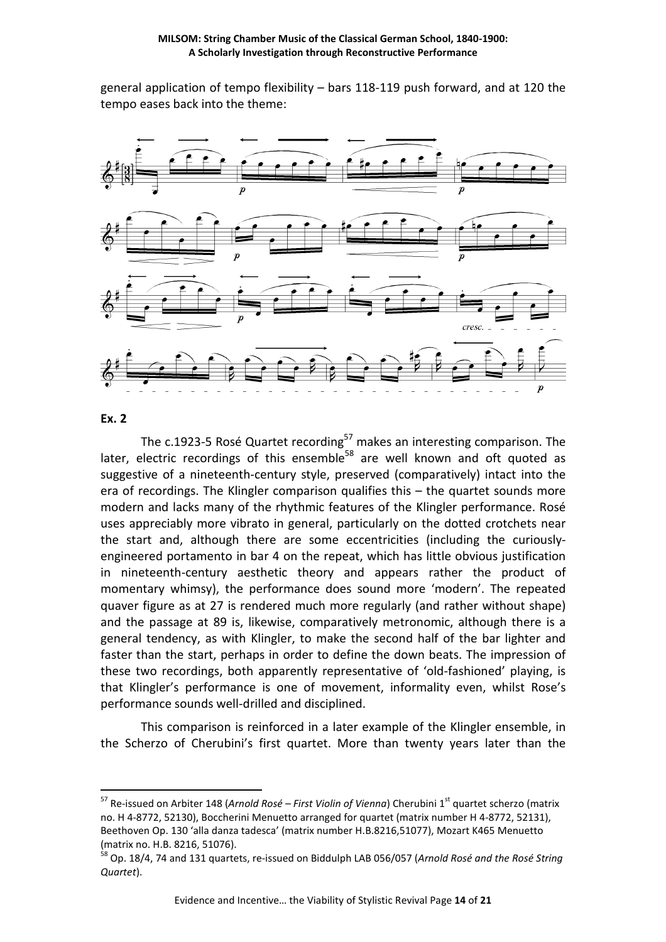general application of tempo flexibility – bars 118-119 push forward, and at 120 the tempo eases back into the theme:



#### **Ex. 2**

 $\overline{a}$ 

The c.1923-5 Rosé Quartet recording<sup>57</sup> makes an interesting comparison. The later, electric recordings of this ensemble<sup>58</sup> are well known and oft quoted as suggestive of a nineteenth-century style, preserved (comparatively) intact into the era of recordings. The Klingler comparison qualifies this – the quartet sounds more modern and lacks many of the rhythmic features of the Klingler performance. Rosé uses appreciably more vibrato in general, particularly on the dotted crotchets near the start and, although there are some eccentricities (including the curiouslyengineered portamento in bar 4 on the repeat, which has little obvious justification in nineteenth-century aesthetic theory and appears rather the product of momentary whimsy), the performance does sound more 'modern'. The repeated quaver figure as at 27 is rendered much more regularly (and rather without shape) and the passage at 89 is, likewise, comparatively metronomic, although there is a general tendency, as with Klingler, to make the second half of the bar lighter and faster than the start, perhaps in order to define the down beats. The impression of these two recordings, both apparently representative of 'old-fashioned' playing, is that Klingler's performance is one of movement, informality even, whilst Rose's performance sounds well-drilled and disciplined.

This comparison is reinforced in a later example of the Klingler ensemble, in the Scherzo of Cherubini's first quartet. More than twenty years later than the

<sup>&</sup>lt;sup>57</sup> Re-issued on Arbiter 148 (Arnold Rosé – First Violin of Vienna) Cherubini 1<sup>st</sup> quartet scherzo (matrix no. H 4-8772, 52130), Boccherini Menuetto arranged for quartet (matrix number H 4-8772, 52131), Beethoven Op. 130 'alla danza tadesca' (matrix number H.B.8216,51077), Mozart K465 Menuetto (matrix no. H.B. 8216, 51076).

<sup>58</sup> Op. 18/4, 74 and 131 quartets, re-issued on Biddulph LAB 056/057 (*Arnold Rosé and the Rosé String Quartet*).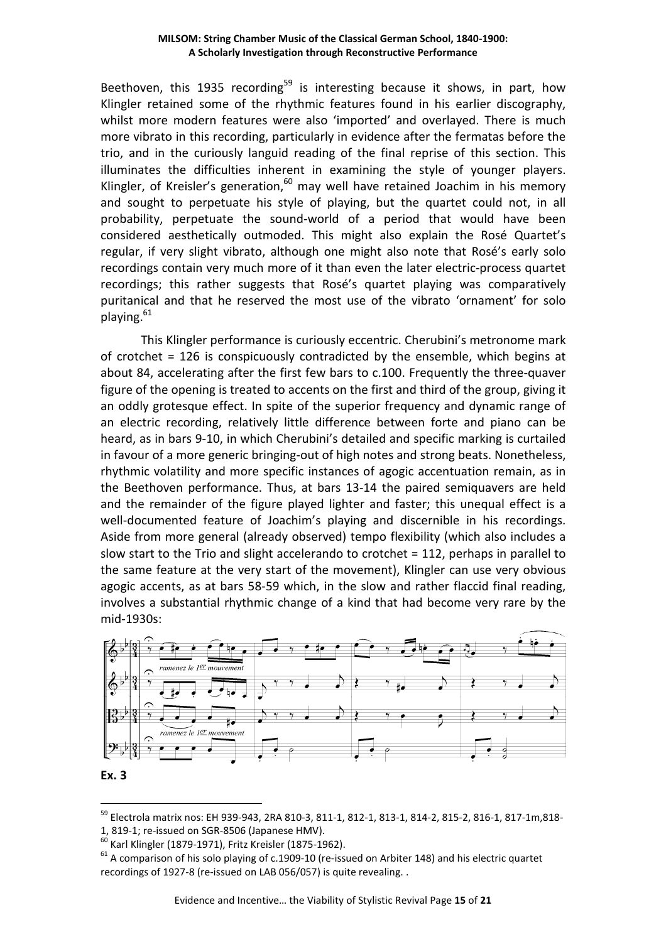Beethoven, this 1935 recording<sup>59</sup> is interesting because it shows, in part, how Klingler retained some of the rhythmic features found in his earlier discography, whilst more modern features were also 'imported' and overlayed. There is much more vibrato in this recording, particularly in evidence after the fermatas before the trio, and in the curiously languid reading of the final reprise of this section. This illuminates the difficulties inherent in examining the style of younger players. Klingler, of Kreisler's generation, $60$  may well have retained Joachim in his memory and sought to perpetuate his style of playing, but the quartet could not, in all probability, perpetuate the sound-world of a period that would have been considered aesthetically outmoded. This might also explain the Rosé Quartet's regular, if very slight vibrato, although one might also note that Rosé's early solo recordings contain very much more of it than even the later electric-process quartet recordings; this rather suggests that Rosé's quartet playing was comparatively puritanical and that he reserved the most use of the vibrato 'ornament' for solo playing.<sup>61</sup>

This Klingler performance is curiously eccentric. Cherubini's metronome mark of crotchet = 126 is conspicuously contradicted by the ensemble, which begins at about 84, accelerating after the first few bars to c.100. Frequently the three-quaver figure of the opening is treated to accents on the first and third of the group, giving it an oddly grotesque effect. In spite of the superior frequency and dynamic range of an electric recording, relatively little difference between forte and piano can be heard, as in bars 9-10, in which Cherubini's detailed and specific marking is curtailed in favour of a more generic bringing-out of high notes and strong beats. Nonetheless, rhythmic volatility and more specific instances of agogic accentuation remain, as in the Beethoven performance. Thus, at bars 13-14 the paired semiquavers are held and the remainder of the figure played lighter and faster; this unequal effect is a well-documented feature of Joachim's playing and discernible in his recordings. Aside from more general (already observed) tempo flexibility (which also includes a slow start to the Trio and slight accelerando to crotchet = 112, perhaps in parallel to the same feature at the very start of the movement), Klingler can use very obvious agogic accents, as at bars 58-59 which, in the slow and rather flaccid final reading, involves a substantial rhythmic change of a kind that had become very rare by the mid-1930s:





<sup>59</sup> Electrola matrix nos: EH 939-943, 2RA 810-3, 811-1, 812-1, 813-1, 814-2, 815-2, 816-1, 817-1m,818- 1, 819-1; re-issued on SGR-8506 (Japanese HMV).

<sup>60</sup> Karl Klingler (1879-1971), Fritz Kreisler (1875-1962).

 $61$  A comparison of his solo playing of c.1909-10 (re-issued on Arbiter 148) and his electric quartet recordings of 1927-8 (re-issued on LAB 056/057) is quite revealing. .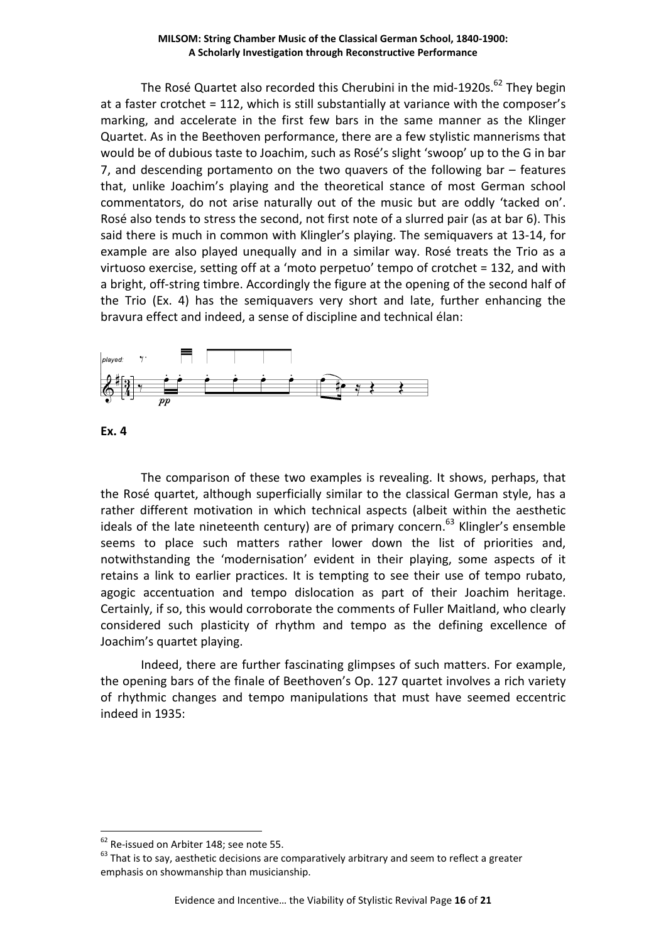The Rosé Quartet also recorded this Cherubini in the mid-1920s.<sup>62</sup> They begin at a faster crotchet = 112, which is still substantially at variance with the composer's marking, and accelerate in the first few bars in the same manner as the Klinger Quartet. As in the Beethoven performance, there are a few stylistic mannerisms that would be of dubious taste to Joachim, such as Rosé's slight 'swoop' up to the G in bar 7, and descending portamento on the two quavers of the following bar – features that, unlike Joachim's playing and the theoretical stance of most German school commentators, do not arise naturally out of the music but are oddly 'tacked on'. Rosé also tends to stress the second, not first note of a slurred pair (as at bar 6). This said there is much in common with Klingler's playing. The semiquavers at 13-14, for example are also played unequally and in a similar way. Rosé treats the Trio as a virtuoso exercise, setting off at a 'moto perpetuo' tempo of crotchet = 132, and with a bright, off-string timbre. Accordingly the figure at the opening of the second half of the Trio (Ex. 4) has the semiquavers very short and late, further enhancing the bravura effect and indeed, a sense of discipline and technical élan:



**Ex. 4** 

 $\overline{a}$ 

The comparison of these two examples is revealing. It shows, perhaps, that the Rosé quartet, although superficially similar to the classical German style, has a rather different motivation in which technical aspects (albeit within the aesthetic ideals of the late nineteenth century) are of primary concern.<sup>63</sup> Klingler's ensemble seems to place such matters rather lower down the list of priorities and, notwithstanding the 'modernisation' evident in their playing, some aspects of it retains a link to earlier practices. It is tempting to see their use of tempo rubato, agogic accentuation and tempo dislocation as part of their Joachim heritage. Certainly, if so, this would corroborate the comments of Fuller Maitland, who clearly considered such plasticity of rhythm and tempo as the defining excellence of Joachim's quartet playing.

Indeed, there are further fascinating glimpses of such matters. For example, the opening bars of the finale of Beethoven's Op. 127 quartet involves a rich variety of rhythmic changes and tempo manipulations that must have seemed eccentric indeed in 1935:

<sup>&</sup>lt;sup>62</sup> Re-issued on Arbiter 148; see note 55.

 $63$  That is to say, aesthetic decisions are comparatively arbitrary and seem to reflect a greater emphasis on showmanship than musicianship.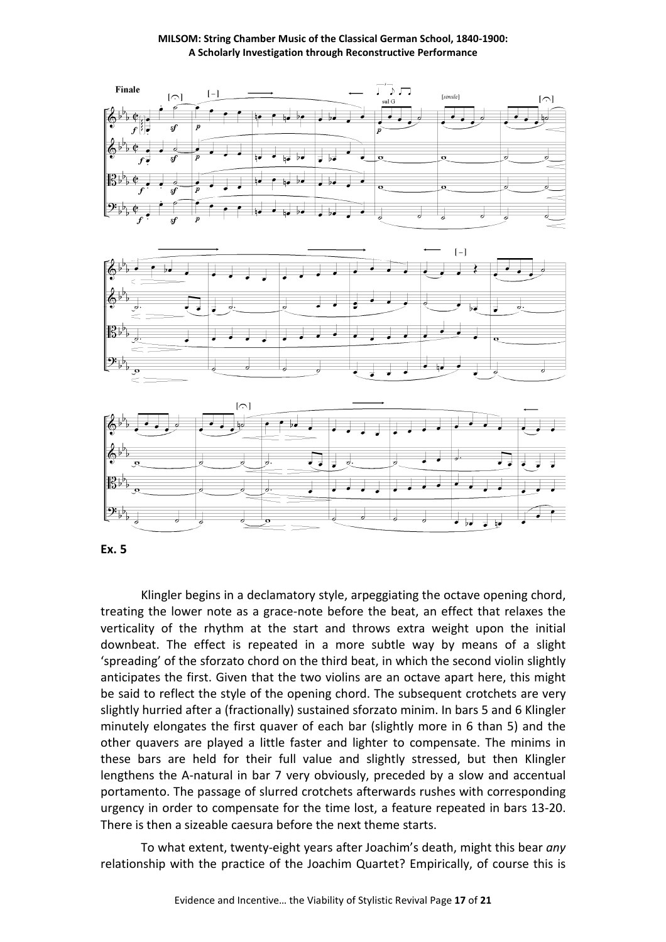

**Ex. 5** 

Klingler begins in a declamatory style, arpeggiating the octave opening chord, treating the lower note as a grace-note before the beat, an effect that relaxes the verticality of the rhythm at the start and throws extra weight upon the initial downbeat. The effect is repeated in a more subtle way by means of a slight 'spreading' of the sforzato chord on the third beat, in which the second violin slightly anticipates the first. Given that the two violins are an octave apart here, this might be said to reflect the style of the opening chord. The subsequent crotchets are very slightly hurried after a (fractionally) sustained sforzato minim. In bars 5 and 6 Klingler minutely elongates the first quaver of each bar (slightly more in 6 than 5) and the other quavers are played a little faster and lighter to compensate. The minims in these bars are held for their full value and slightly stressed, but then Klingler lengthens the A-natural in bar 7 very obviously, preceded by a slow and accentual portamento. The passage of slurred crotchets afterwards rushes with corresponding urgency in order to compensate for the time lost, a feature repeated in bars 13-20. There is then a sizeable caesura before the next theme starts.

To what extent, twenty-eight years after Joachim's death, might this bear *any* relationship with the practice of the Joachim Quartet? Empirically, of course this is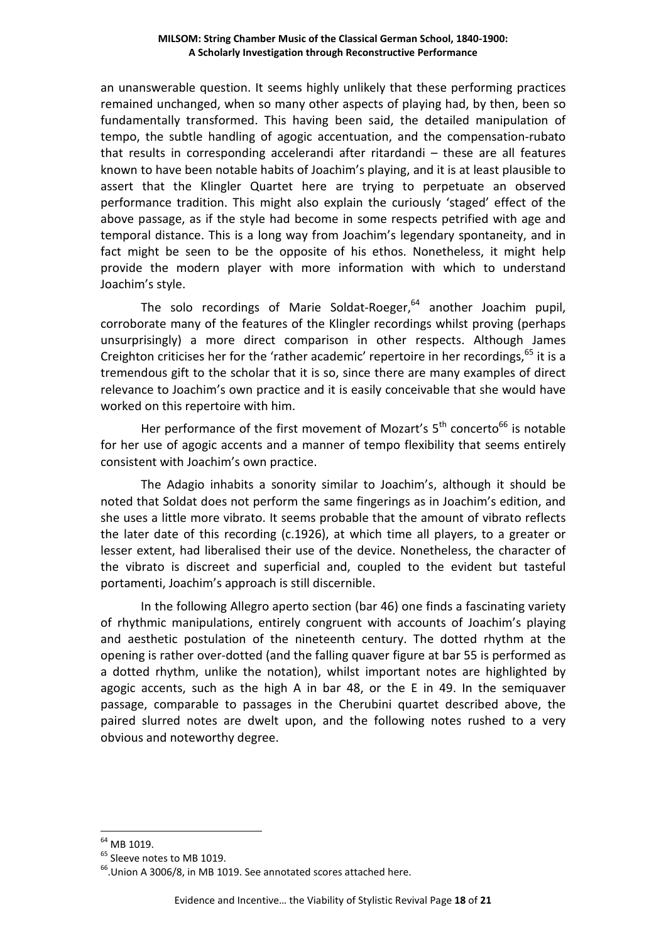an unanswerable question. It seems highly unlikely that these performing practices remained unchanged, when so many other aspects of playing had, by then, been so fundamentally transformed. This having been said, the detailed manipulation of tempo, the subtle handling of agogic accentuation, and the compensation-rubato that results in corresponding accelerandi after ritardandi – these are all features known to have been notable habits of Joachim's playing, and it is at least plausible to assert that the Klingler Quartet here are trying to perpetuate an observed performance tradition. This might also explain the curiously 'staged' effect of the above passage, as if the style had become in some respects petrified with age and temporal distance. This is a long way from Joachim's legendary spontaneity, and in fact might be seen to be the opposite of his ethos. Nonetheless, it might help provide the modern player with more information with which to understand Joachim's style.

The solo recordings of Marie Soldat-Roeger, $64$  another Joachim pupil, corroborate many of the features of the Klingler recordings whilst proving (perhaps unsurprisingly) a more direct comparison in other respects. Although James Creighton criticises her for the 'rather academic' repertoire in her recordings,<sup>65</sup> it is a tremendous gift to the scholar that it is so, since there are many examples of direct relevance to Joachim's own practice and it is easily conceivable that she would have worked on this repertoire with him.

Her performance of the first movement of Mozart's  $5<sup>th</sup>$  concerto<sup>66</sup> is notable for her use of agogic accents and a manner of tempo flexibility that seems entirely consistent with Joachim's own practice.

The Adagio inhabits a sonority similar to Joachim's, although it should be noted that Soldat does not perform the same fingerings as in Joachim's edition, and she uses a little more vibrato. It seems probable that the amount of vibrato reflects the later date of this recording (c.1926), at which time all players, to a greater or lesser extent, had liberalised their use of the device. Nonetheless, the character of the vibrato is discreet and superficial and, coupled to the evident but tasteful portamenti, Joachim's approach is still discernible.

In the following Allegro aperto section (bar 46) one finds a fascinating variety of rhythmic manipulations, entirely congruent with accounts of Joachim's playing and aesthetic postulation of the nineteenth century. The dotted rhythm at the opening is rather over-dotted (and the falling quaver figure at bar 55 is performed as a dotted rhythm, unlike the notation), whilst important notes are highlighted by agogic accents, such as the high A in bar 48, or the E in 49. In the semiquaver passage, comparable to passages in the Cherubini quartet described above, the paired slurred notes are dwelt upon, and the following notes rushed to a very obvious and noteworthy degree.

<sup>64</sup> MB 1019.

<sup>&</sup>lt;sup>65</sup> Sleeve notes to MB 1019.

<sup>&</sup>lt;sup>66</sup>.Union A 3006/8, in MB 1019. See annotated scores attached here.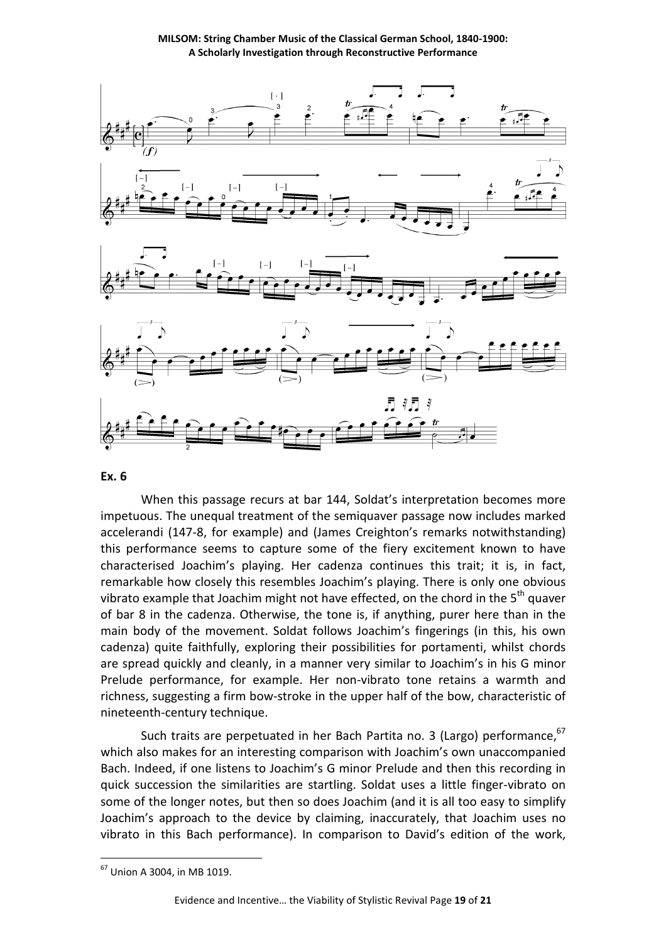**MILSOM: String Chamber Music of the Classical German School, 1840-1900: A Scholarly Investigation through Reconstructive Performance** 



#### **Ex. 6**

When this passage recurs at bar 144, Soldat's interpretation becomes more impetuous. The unequal treatment of the semiquaver passage now includes marked accelerandi (147-8, for example) and (James Creighton's remarks notwithstanding) this performance seems to capture some of the fiery excitement known to have characterised Joachim's playing. Her cadenza continues this trait; it is, in fact, remarkable how closely this resembles Joachim's playing. There is only one obvious vibrato example that Joachim might not have effected, on the chord in the  $5<sup>th</sup>$  quaver of bar 8 in the cadenza. Otherwise, the tone is, if anything, purer here than in the main body of the movement. Soldat follows Joachim's fingerings (in this, his own cadenza) quite faithfully, exploring their possibilities for portamenti, whilst chords are spread quickly and cleanly, in a manner very similar to Joachim's in his G minor Prelude performance, for example. Her non-vibrato tone retains a warmth and richness, suggesting a firm bow-stroke in the upper half of the bow, characteristic of nineteenth-century technique.

Such traits are perpetuated in her Bach Partita no. 3 (Largo) performance,  $67$ which also makes for an interesting comparison with Joachim's own unaccompanied Bach. Indeed, if one listens to Joachim's G minor Prelude and then this recording in quick succession the similarities are startling. Soldat uses a little finger-vibrato on some of the longer notes, but then so does Joachim (and it is all too easy to simplify Joachim's approach to the device by claiming, inaccurately, that Joachim uses no vibrato in this Bach performance). In comparison to David's edition of the work,

<sup>67</sup> Union A 3004, in MB 1019.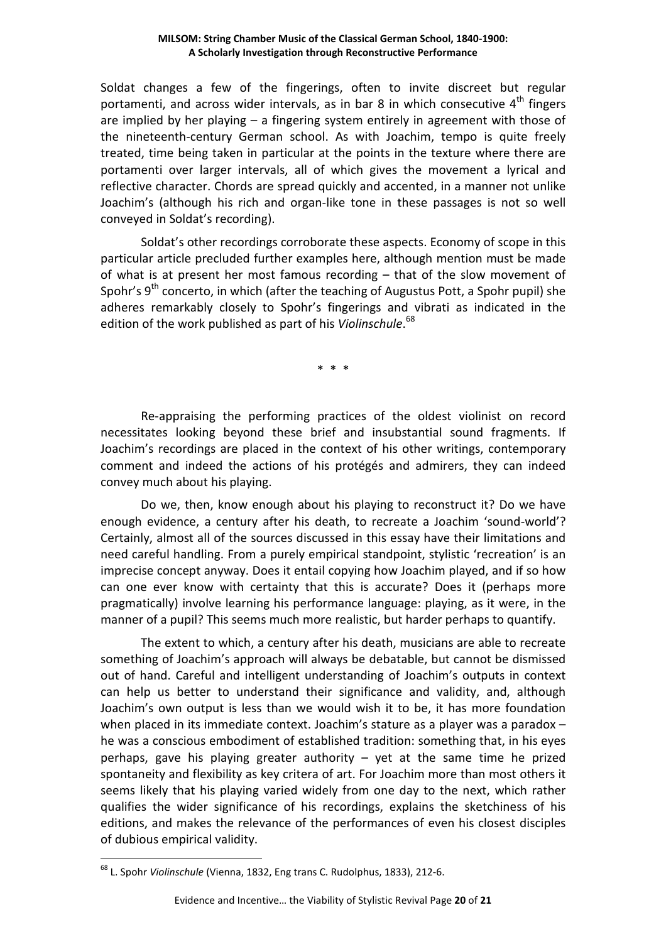Soldat changes a few of the fingerings, often to invite discreet but regular portamenti, and across wider intervals, as in bar 8 in which consecutive  $4<sup>th</sup>$  fingers are implied by her playing – a fingering system entirely in agreement with those of the nineteenth-century German school. As with Joachim, tempo is quite freely treated, time being taken in particular at the points in the texture where there are portamenti over larger intervals, all of which gives the movement a lyrical and reflective character. Chords are spread quickly and accented, in a manner not unlike Joachim's (although his rich and organ-like tone in these passages is not so well conveyed in Soldat's recording).

Soldat's other recordings corroborate these aspects. Economy of scope in this particular article precluded further examples here, although mention must be made of what is at present her most famous recording – that of the slow movement of Spohr's  $9<sup>th</sup>$  concerto, in which (after the teaching of Augustus Pott, a Spohr pupil) she adheres remarkably closely to Spohr's fingerings and vibrati as indicated in the edition of the work published as part of his *Violinschule*. 68

\* \* \*

Re-appraising the performing practices of the oldest violinist on record necessitates looking beyond these brief and insubstantial sound fragments. If Joachim's recordings are placed in the context of his other writings, contemporary comment and indeed the actions of his protégés and admirers, they can indeed convey much about his playing.

Do we, then, know enough about his playing to reconstruct it? Do we have enough evidence, a century after his death, to recreate a Joachim 'sound-world'? Certainly, almost all of the sources discussed in this essay have their limitations and need careful handling. From a purely empirical standpoint, stylistic 'recreation' is an imprecise concept anyway. Does it entail copying how Joachim played, and if so how can one ever know with certainty that this is accurate? Does it (perhaps more pragmatically) involve learning his performance language: playing, as it were, in the manner of a pupil? This seems much more realistic, but harder perhaps to quantify.

The extent to which, a century after his death, musicians are able to recreate something of Joachim's approach will always be debatable, but cannot be dismissed out of hand. Careful and intelligent understanding of Joachim's outputs in context can help us better to understand their significance and validity, and, although Joachim's own output is less than we would wish it to be, it has more foundation when placed in its immediate context. Joachim's stature as a player was a paradox he was a conscious embodiment of established tradition: something that, in his eyes perhaps, gave his playing greater authority – yet at the same time he prized spontaneity and flexibility as key critera of art. For Joachim more than most others it seems likely that his playing varied widely from one day to the next, which rather qualifies the wider significance of his recordings, explains the sketchiness of his editions, and makes the relevance of the performances of even his closest disciples of dubious empirical validity.

<sup>68</sup> L. Spohr *Violinschule* (Vienna, 1832, Eng trans C. Rudolphus, 1833), 212-6.